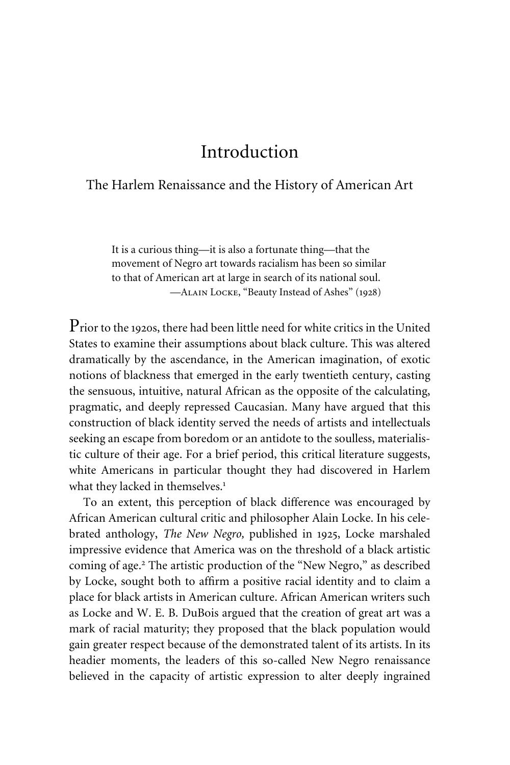## Introduction

## The Harlem Renaissance and the History of American Art

It is a curious thing—it is also a fortunate thing—that the movement of Negro art towards racialism has been so similar to that of American art at large in search of its national soul. —Alain Locke, "Beauty Instead of Ashes" (1928)

Prior to the 1920s, there had been little need for white critics in the United States to examine their assumptions about black culture. This was altered dramatically by the ascendance, in the American imagination, of exotic notions of blackness that emerged in the early twentieth century, casting the sensuous, intuitive, natural African as the opposite of the calculating, pragmatic, and deeply repressed Caucasian. Many have argued that this construction of black identity served the needs of artists and intellectuals seeking an escape from boredom or an antidote to the soulless, materialistic culture of their age. For a brief period, this critical literature suggests, white Americans in particular thought they had discovered in Harlem what they lacked in themselves.<sup>1</sup>

To an extent, this perception of black difference was encouraged by African American cultural critic and philosopher Alain Locke. In his celebrated anthology, *The New Negro,* published in 1925, Locke marshaled impressive evidence that America was on the threshold of a black artistic coming of age.<sup>2</sup> The artistic production of the "New Negro," as described by Locke, sought both to affirm a positive racial identity and to claim a place for black artists in American culture. African American writers such as Locke and W. E. B. DuBois argued that the creation of great art was a mark of racial maturity; they proposed that the black population would gain greater respect because of the demonstrated talent of its artists. In its headier moments, the leaders of this so-called New Negro renaissance believed in the capacity of artistic expression to alter deeply ingrained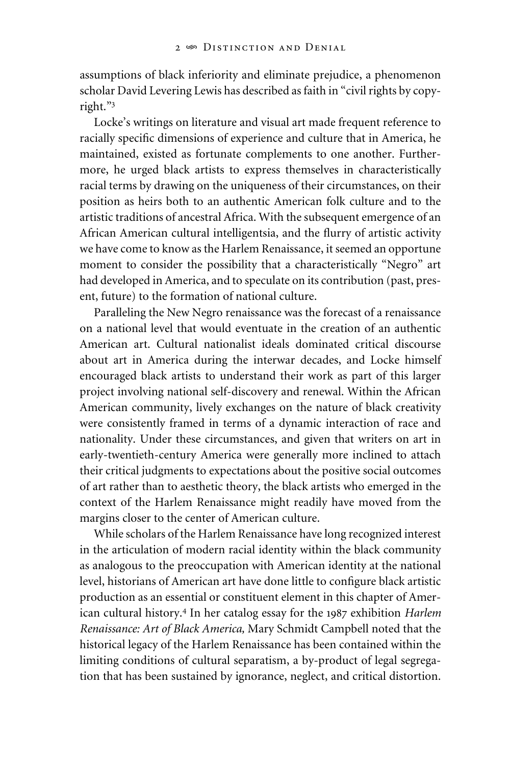assumptions of black inferiority and eliminate prejudice, a phenomenon scholar David Levering Lewis has described as faith in "civil rights by copyright."3

Locke's writings on literature and visual art made frequent reference to racially specific dimensions of experience and culture that in America, he maintained, existed as fortunate complements to one another. Furthermore, he urged black artists to express themselves in characteristically racial terms by drawing on the uniqueness of their circumstances, on their position as heirs both to an authentic American folk culture and to the artistic traditions of ancestral Africa. With the subsequent emergence of an African American cultural intelligentsia, and the flurry of artistic activity we have come to know as the Harlem Renaissance, it seemed an opportune moment to consider the possibility that a characteristically "Negro" art had developed in America, and to speculate on its contribution (past, present, future) to the formation of national culture.

Paralleling the New Negro renaissance was the forecast of a renaissance on a national level that would eventuate in the creation of an authentic American art. Cultural nationalist ideals dominated critical discourse about art in America during the interwar decades, and Locke himself encouraged black artists to understand their work as part of this larger project involving national self-discovery and renewal. Within the African American community, lively exchanges on the nature of black creativity were consistently framed in terms of a dynamic interaction of race and nationality. Under these circumstances, and given that writers on art in early-twentieth-century America were generally more inclined to attach their critical judgments to expectations about the positive social outcomes of art rather than to aesthetic theory, the black artists who emerged in the context of the Harlem Renaissance might readily have moved from the margins closer to the center of American culture.

While scholars of the Harlem Renaissance have long recognized interest in the articulation of modern racial identity within the black community as analogous to the preoccupation with American identity at the national level, historians of American art have done little to configure black artistic production as an essential or constituent element in this chapter of American cultural history.4 In her catalog essay for the 1987 exhibition *Harlem Renaissance: Art of Black America,* Mary Schmidt Campbell noted that the historical legacy of the Harlem Renaissance has been contained within the limiting conditions of cultural separatism, a by-product of legal segregation that has been sustained by ignorance, neglect, and critical distortion.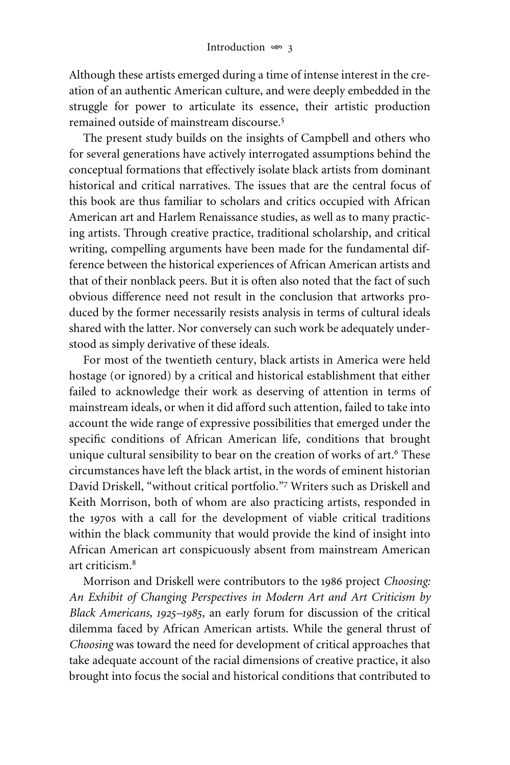Although these artists emerged during a time of intense interest in the creation of an authentic American culture, and were deeply embedded in the struggle for power to articulate its essence, their artistic production remained outside of mainstream discourse.<sup>5</sup>

The present study builds on the insights of Campbell and others who for several generations have actively interrogated assumptions behind the conceptual formations that effectively isolate black artists from dominant historical and critical narratives. The issues that are the central focus of this book are thus familiar to scholars and critics occupied with African American art and Harlem Renaissance studies, as well as to many practicing artists. Through creative practice, traditional scholarship, and critical writing, compelling arguments have been made for the fundamental difference between the historical experiences of African American artists and that of their nonblack peers. But it is often also noted that the fact of such obvious difference need not result in the conclusion that artworks produced by the former necessarily resists analysis in terms of cultural ideals shared with the latter. Nor conversely can such work be adequately understood as simply derivative of these ideals.

For most of the twentieth century, black artists in America were held hostage (or ignored) by a critical and historical establishment that either failed to acknowledge their work as deserving of attention in terms of mainstream ideals, or when it did afford such attention, failed to take into account the wide range of expressive possibilities that emerged under the specific conditions of African American life, conditions that brought unique cultural sensibility to bear on the creation of works of art.<sup>6</sup> These circumstances have left the black artist, in the words of eminent historian David Driskell, "without critical portfolio."<sup>7</sup> Writers such as Driskell and Keith Morrison, both of whom are also practicing artists, responded in the 1970s with a call for the development of viable critical traditions within the black community that would provide the kind of insight into African American art conspicuously absent from mainstream American art criticism.<sup>8</sup>

Morrison and Driskell were contributors to the 1986 project *Choosing: An Exhibit of Changing Perspectives in Modern Art and Art Criticism by Black Americans, 1925–1985,* an early forum for discussion of the critical dilemma faced by African American artists. While the general thrust of *Choosing* was toward the need for development of critical approaches that take adequate account of the racial dimensions of creative practice, it also brought into focus the social and historical conditions that contributed to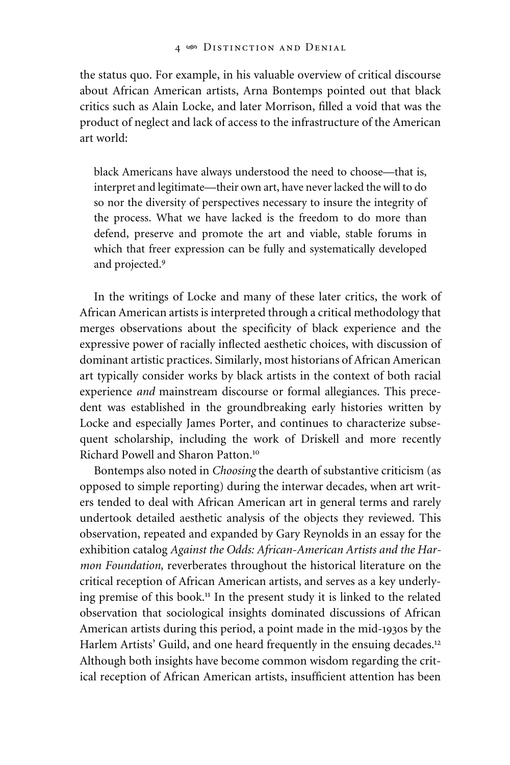the status quo. For example, in his valuable overview of critical discourse about African American artists, Arna Bontemps pointed out that black critics such as Alain Locke, and later Morrison, filled a void that was the product of neglect and lack of access to the infrastructure of the American art world:

black Americans have always understood the need to choose—that is, interpret and legitimate—their own art, have never lacked the will to do so nor the diversity of perspectives necessary to insure the integrity of the process. What we have lacked is the freedom to do more than defend, preserve and promote the art and viable, stable forums in which that freer expression can be fully and systematically developed and projected.9

In the writings of Locke and many of these later critics, the work of African American artists is interpreted through a critical methodology that merges observations about the specificity of black experience and the expressive power of racially inflected aesthetic choices, with discussion of dominant artistic practices. Similarly, most historians of African American art typically consider works by black artists in the context of both racial experience *and* mainstream discourse or formal allegiances. This precedent was established in the groundbreaking early histories written by Locke and especially James Porter, and continues to characterize subsequent scholarship, including the work of Driskell and more recently Richard Powell and Sharon Patton.10

Bontemps also noted in *Choosing* the dearth of substantive criticism (as opposed to simple reporting) during the interwar decades, when art writers tended to deal with African American art in general terms and rarely undertook detailed aesthetic analysis of the objects they reviewed. This observation, repeated and expanded by Gary Reynolds in an essay for the exhibition catalog *Against the Odds: African-American Artists and the Harmon Foundation,* reverberates throughout the historical literature on the critical reception of African American artists, and serves as a key underlying premise of this book.<sup>11</sup> In the present study it is linked to the related observation that sociological insights dominated discussions of African American artists during this period, a point made in the mid-1930s by the Harlem Artists' Guild, and one heard frequently in the ensuing decades.<sup>12</sup> Although both insights have become common wisdom regarding the critical reception of African American artists, insufficient attention has been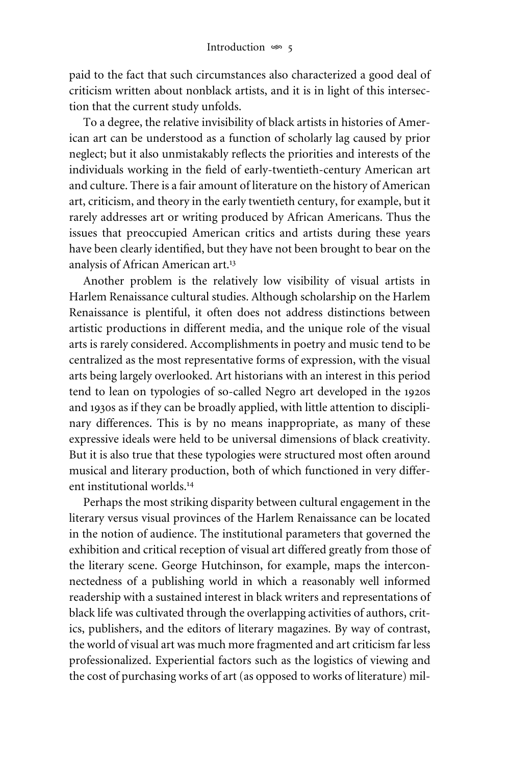paid to the fact that such circumstances also characterized a good deal of criticism written about nonblack artists, and it is in light of this intersection that the current study unfolds.

To a degree, the relative invisibility of black artists in histories of American art can be understood as a function of scholarly lag caused by prior neglect; but it also unmistakably reflects the priorities and interests of the individuals working in the field of early-twentieth-century American art and culture. There is a fair amount of literature on the history of American art, criticism, and theory in the early twentieth century, for example, but it rarely addresses art or writing produced by African Americans. Thus the issues that preoccupied American critics and artists during these years have been clearly identified, but they have not been brought to bear on the analysis of African American art.13

Another problem is the relatively low visibility of visual artists in Harlem Renaissance cultural studies. Although scholarship on the Harlem Renaissance is plentiful, it often does not address distinctions between artistic productions in different media, and the unique role of the visual arts is rarely considered. Accomplishments in poetry and music tend to be centralized as the most representative forms of expression, with the visual arts being largely overlooked. Art historians with an interest in this period tend to lean on typologies of so-called Negro art developed in the 1920s and 1930s as if they can be broadly applied, with little attention to disciplinary differences. This is by no means inappropriate, as many of these expressive ideals were held to be universal dimensions of black creativity. But it is also true that these typologies were structured most often around musical and literary production, both of which functioned in very different institutional worlds.14

Perhaps the most striking disparity between cultural engagement in the literary versus visual provinces of the Harlem Renaissance can be located in the notion of audience. The institutional parameters that governed the exhibition and critical reception of visual art differed greatly from those of the literary scene. George Hutchinson, for example, maps the interconnectedness of a publishing world in which a reasonably well informed readership with a sustained interest in black writers and representations of black life was cultivated through the overlapping activities of authors, critics, publishers, and the editors of literary magazines. By way of contrast, the world of visual art was much more fragmented and art criticism far less professionalized. Experiential factors such as the logistics of viewing and the cost of purchasing works of art (as opposed to works of literature) mil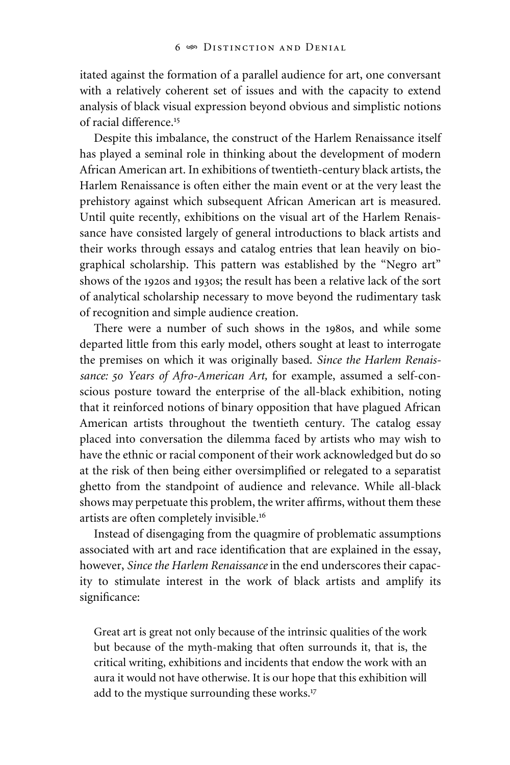itated against the formation of a parallel audience for art, one conversant with a relatively coherent set of issues and with the capacity to extend analysis of black visual expression beyond obvious and simplistic notions of racial difference.<sup>15</sup>

Despite this imbalance, the construct of the Harlem Renaissance itself has played a seminal role in thinking about the development of modern African American art. In exhibitions of twentieth-century black artists, the Harlem Renaissance is often either the main event or at the very least the prehistory against which subsequent African American art is measured. Until quite recently, exhibitions on the visual art of the Harlem Renaissance have consisted largely of general introductions to black artists and their works through essays and catalog entries that lean heavily on biographical scholarship. This pattern was established by the "Negro art" shows of the 1920s and 1930s; the result has been a relative lack of the sort of analytical scholarship necessary to move beyond the rudimentary task of recognition and simple audience creation.

There were a number of such shows in the 1980s, and while some departed little from this early model, others sought at least to interrogate the premises on which it was originally based. *Since the Harlem Renaissance: 50 Years of Afro-American Art,* for example, assumed a self-conscious posture toward the enterprise of the all-black exhibition, noting that it reinforced notions of binary opposition that have plagued African American artists throughout the twentieth century. The catalog essay placed into conversation the dilemma faced by artists who may wish to have the ethnic or racial component of their work acknowledged but do so at the risk of then being either oversimplified or relegated to a separatist ghetto from the standpoint of audience and relevance. While all-black shows may perpetuate this problem, the writer affirms, without them these artists are often completely invisible.16

Instead of disengaging from the quagmire of problematic assumptions associated with art and race identification that are explained in the essay, however, *Since the Harlem Renaissance* in the end underscores their capacity to stimulate interest in the work of black artists and amplify its significance:

Great art is great not only because of the intrinsic qualities of the work but because of the myth-making that often surrounds it, that is, the critical writing, exhibitions and incidents that endow the work with an aura it would not have otherwise. It is our hope that this exhibition will add to the mystique surrounding these works.<sup>17</sup>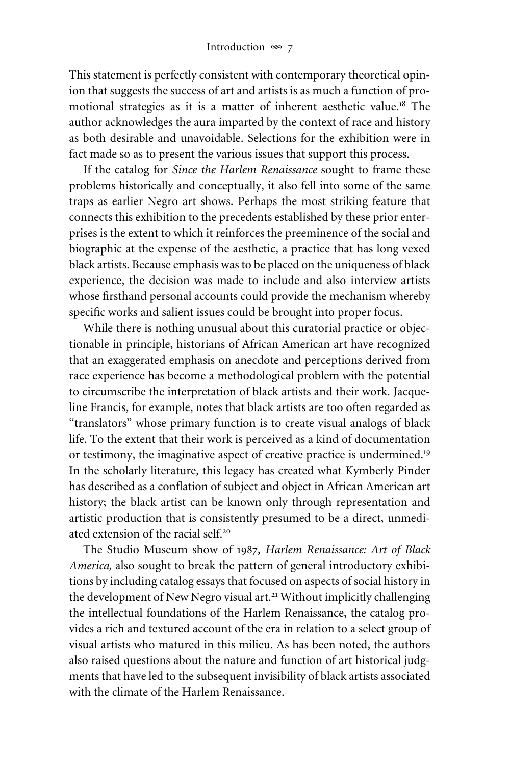This statement is perfectly consistent with contemporary theoretical opinion that suggests the success of art and artists is as much a function of promotional strategies as it is a matter of inherent aesthetic value.18 The author acknowledges the aura imparted by the context of race and history as both desirable and unavoidable. Selections for the exhibition were in fact made so as to present the various issues that support this process.

If the catalog for *Since the Harlem Renaissance* sought to frame these problems historically and conceptually, it also fell into some of the same traps as earlier Negro art shows. Perhaps the most striking feature that connects this exhibition to the precedents established by these prior enterprises is the extent to which it reinforces the preeminence of the social and biographic at the expense of the aesthetic, a practice that has long vexed black artists. Because emphasis was to be placed on the uniqueness of black experience, the decision was made to include and also interview artists whose firsthand personal accounts could provide the mechanism whereby specific works and salient issues could be brought into proper focus.

While there is nothing unusual about this curatorial practice or objectionable in principle, historians of African American art have recognized that an exaggerated emphasis on anecdote and perceptions derived from race experience has become a methodological problem with the potential to circumscribe the interpretation of black artists and their work. Jacqueline Francis, for example, notes that black artists are too often regarded as "translators" whose primary function is to create visual analogs of black life. To the extent that their work is perceived as a kind of documentation or testimony, the imaginative aspect of creative practice is undermined.19 In the scholarly literature, this legacy has created what Kymberly Pinder has described as a conflation of subject and object in African American art history; the black artist can be known only through representation and artistic production that is consistently presumed to be a direct, unmediated extension of the racial self<sup>20</sup>

The Studio Museum show of 1987, *Harlem Renaissance: Art of Black America,* also sought to break the pattern of general introductory exhibitions by including catalog essays that focused on aspects of social history in the development of New Negro visual art.<sup>21</sup> Without implicitly challenging the intellectual foundations of the Harlem Renaissance, the catalog provides a rich and textured account of the era in relation to a select group of visual artists who matured in this milieu. As has been noted, the authors also raised questions about the nature and function of art historical judgments that have led to the subsequent invisibility of black artists associated with the climate of the Harlem Renaissance.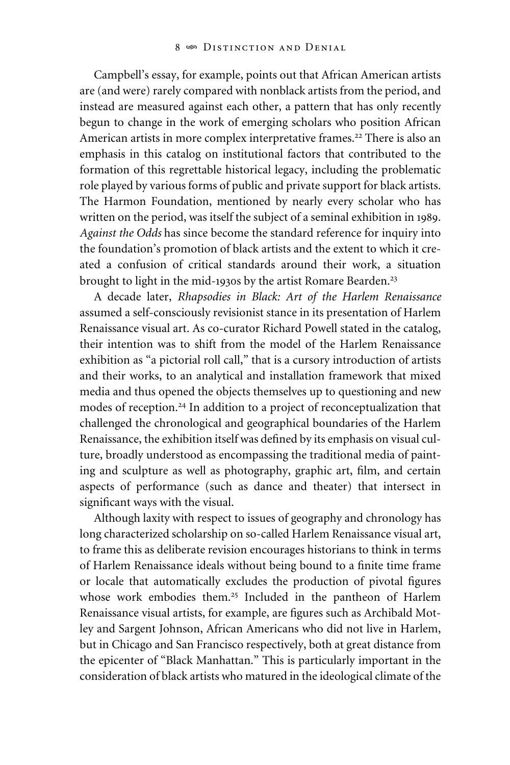Campbell's essay, for example, points out that African American artists are (and were) rarely compared with nonblack artists from the period, and instead are measured against each other, a pattern that has only recently begun to change in the work of emerging scholars who position African American artists in more complex interpretative frames.<sup>22</sup> There is also an emphasis in this catalog on institutional factors that contributed to the formation of this regrettable historical legacy, including the problematic role played by various forms of public and private support for black artists. The Harmon Foundation, mentioned by nearly every scholar who has written on the period, was itself the subject of a seminal exhibition in 1989. *Against the Odds* has since become the standard reference for inquiry into the foundation's promotion of black artists and the extent to which it created a confusion of critical standards around their work, a situation brought to light in the mid-1930s by the artist Romare Bearden.<sup>23</sup>

A decade later, *Rhapsodies in Black: Art of the Harlem Renaissance* assumed a self-consciously revisionist stance in its presentation of Harlem Renaissance visual art. As co-curator Richard Powell stated in the catalog, their intention was to shift from the model of the Harlem Renaissance exhibition as "a pictorial roll call," that is a cursory introduction of artists and their works, to an analytical and installation framework that mixed media and thus opened the objects themselves up to questioning and new modes of reception.<sup>24</sup> In addition to a project of reconceptualization that challenged the chronological and geographical boundaries of the Harlem Renaissance, the exhibition itself was defined by its emphasis on visual culture, broadly understood as encompassing the traditional media of painting and sculpture as well as photography, graphic art, film, and certain aspects of performance (such as dance and theater) that intersect in significant ways with the visual.

Although laxity with respect to issues of geography and chronology has long characterized scholarship on so-called Harlem Renaissance visual art, to frame this as deliberate revision encourages historians to think in terms of Harlem Renaissance ideals without being bound to a finite time frame or locale that automatically excludes the production of pivotal figures whose work embodies them.<sup>25</sup> Included in the pantheon of Harlem Renaissance visual artists, for example, are figures such as Archibald Motley and Sargent Johnson, African Americans who did not live in Harlem, but in Chicago and San Francisco respectively, both at great distance from the epicenter of "Black Manhattan." This is particularly important in the consideration of black artists who matured in the ideological climate of the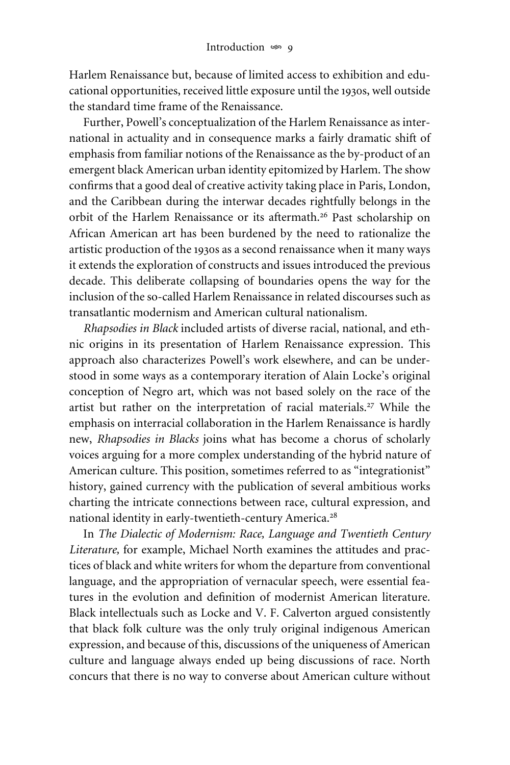Harlem Renaissance but, because of limited access to exhibition and educational opportunities, received little exposure until the 1930s, well outside the standard time frame of the Renaissance.

Further, Powell's conceptualization of the Harlem Renaissance as international in actuality and in consequence marks a fairly dramatic shift of emphasis from familiar notions of the Renaissance as the by-product of an emergent black American urban identity epitomized by Harlem. The show confirms that a good deal of creative activity taking place in Paris, London, and the Caribbean during the interwar decades rightfully belongs in the orbit of the Harlem Renaissance or its aftermath.<sup>26</sup> Past scholarship on African American art has been burdened by the need to rationalize the artistic production of the 1930s as a second renaissance when it many ways it extends the exploration of constructs and issues introduced the previous decade. This deliberate collapsing of boundaries opens the way for the inclusion of the so-called Harlem Renaissance in related discourses such as transatlantic modernism and American cultural nationalism.

*Rhapsodies in Black* included artists of diverse racial, national, and ethnic origins in its presentation of Harlem Renaissance expression. This approach also characterizes Powell's work elsewhere, and can be understood in some ways as a contemporary iteration of Alain Locke's original conception of Negro art, which was not based solely on the race of the artist but rather on the interpretation of racial materials.<sup>27</sup> While the emphasis on interracial collaboration in the Harlem Renaissance is hardly new, *Rhapsodies in Blacks* joins what has become a chorus of scholarly voices arguing for a more complex understanding of the hybrid nature of American culture. This position, sometimes referred to as "integrationist" history, gained currency with the publication of several ambitious works charting the intricate connections between race, cultural expression, and national identity in early-twentieth-century America.<sup>28</sup>

In *The Dialectic of Modernism: Race, Language and Twentieth Century Literature,* for example, Michael North examines the attitudes and practices of black and white writers for whom the departure from conventional language, and the appropriation of vernacular speech, were essential features in the evolution and definition of modernist American literature. Black intellectuals such as Locke and V. F. Calverton argued consistently that black folk culture was the only truly original indigenous American expression, and because of this, discussions of the uniqueness of American culture and language always ended up being discussions of race. North concurs that there is no way to converse about American culture without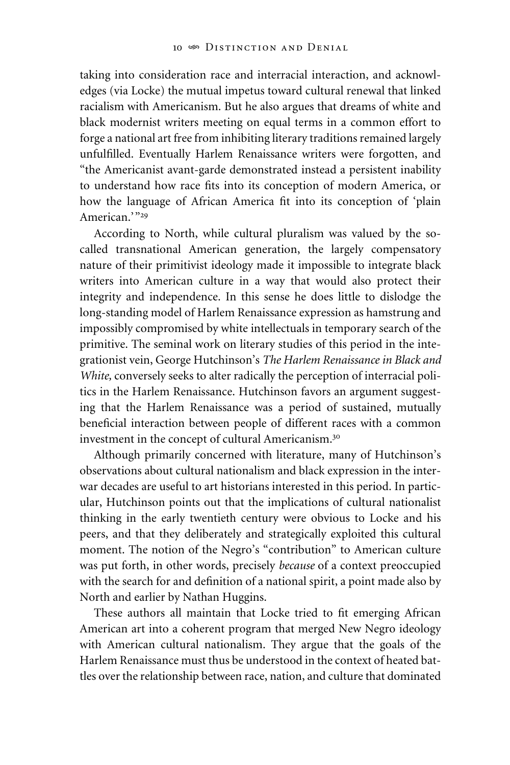taking into consideration race and interracial interaction, and acknowledges (via Locke) the mutual impetus toward cultural renewal that linked racialism with Americanism. But he also argues that dreams of white and black modernist writers meeting on equal terms in a common effort to forge a national art free from inhibiting literary traditions remained largely unfulfilled. Eventually Harlem Renaissance writers were forgotten, and "the Americanist avant-garde demonstrated instead a persistent inability to understand how race fits into its conception of modern America, or how the language of African America fit into its conception of 'plain American.'"<sup>29</sup>

According to North, while cultural pluralism was valued by the socalled transnational American generation, the largely compensatory nature of their primitivist ideology made it impossible to integrate black writers into American culture in a way that would also protect their integrity and independence. In this sense he does little to dislodge the long-standing model of Harlem Renaissance expression as hamstrung and impossibly compromised by white intellectuals in temporary search of the primitive. The seminal work on literary studies of this period in the integrationist vein, George Hutchinson's *The Harlem Renaissance in Black and White,* conversely seeks to alter radically the perception of interracial politics in the Harlem Renaissance. Hutchinson favors an argument suggesting that the Harlem Renaissance was a period of sustained, mutually beneficial interaction between people of different races with a common investment in the concept of cultural Americanism.30

Although primarily concerned with literature, many of Hutchinson's observations about cultural nationalism and black expression in the interwar decades are useful to art historians interested in this period. In particular, Hutchinson points out that the implications of cultural nationalist thinking in the early twentieth century were obvious to Locke and his peers, and that they deliberately and strategically exploited this cultural moment. The notion of the Negro's "contribution" to American culture was put forth, in other words, precisely *because* of a context preoccupied with the search for and definition of a national spirit, a point made also by North and earlier by Nathan Huggins.

These authors all maintain that Locke tried to fit emerging African American art into a coherent program that merged New Negro ideology with American cultural nationalism. They argue that the goals of the Harlem Renaissance must thus be understood in the context of heated battles over the relationship between race, nation, and culture that dominated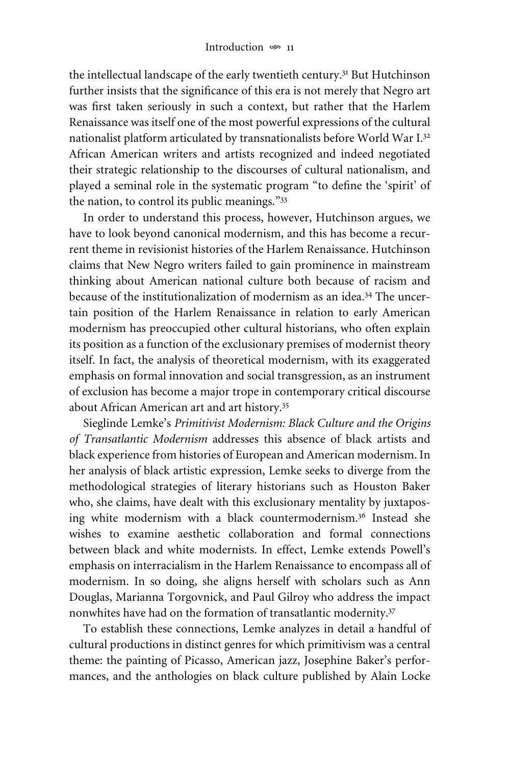the intellectual landscape of the early twentieth century.<sup>31</sup> But Hutchinson further insists that the significance of this era is not merely that Negro art was first taken seriously in such a context, but rather that the Harlem Renaissance was itself one of the most powerful expressions of the cultural nationalist platform articulated by transnationalists before World War I.32 African American writers and artists recognized and indeed negotiated their strategic relationship to the discourses of cultural nationalism, and played a seminal role in the systematic program "to define the 'spirit' of the nation, to control its public meanings."<sup>33</sup>

In order to understand this process, however, Hutchinson argues, we have to look beyond canonical modernism, and this has become a recurrent theme in revisionist histories of the Harlem Renaissance. Hutchinson claims that New Negro writers failed to gain prominence in mainstream thinking about American national culture both because of racism and because of the institutionalization of modernism as an idea.34 The uncertain position of the Harlem Renaissance in relation to early American modernism has preoccupied other cultural historians, who often explain its position as a function of the exclusionary premises of modernist theory itself. In fact, the analysis of theoretical modernism, with its exaggerated emphasis on formal innovation and social transgression, as an instrument of exclusion has become a major trope in contemporary critical discourse about African American art and art history.35

Sieglinde Lemke's *Primitivist Modernism: Black Culture and the Origins of Transatlantic Modernism* addresses this absence of black artists and black experience from histories of European and American modernism. In her analysis of black artistic expression, Lemke seeks to diverge from the methodological strategies of literary historians such as Houston Baker who, she claims, have dealt with this exclusionary mentality by juxtaposing white modernism with a black countermodernism.<sup>36</sup> Instead she wishes to examine aesthetic collaboration and formal connections between black and white modernists. In effect, Lemke extends Powell's emphasis on interracialism in the Harlem Renaissance to encompass all of modernism. In so doing, she aligns herself with scholars such as Ann Douglas, Marianna Torgovnick, and Paul Gilroy who address the impact nonwhites have had on the formation of transatlantic modernity.37

To establish these connections, Lemke analyzes in detail a handful of cultural productions in distinct genres for which primitivism was a central theme: the painting of Picasso, American jazz, Josephine Baker's performances, and the anthologies on black culture published by Alain Locke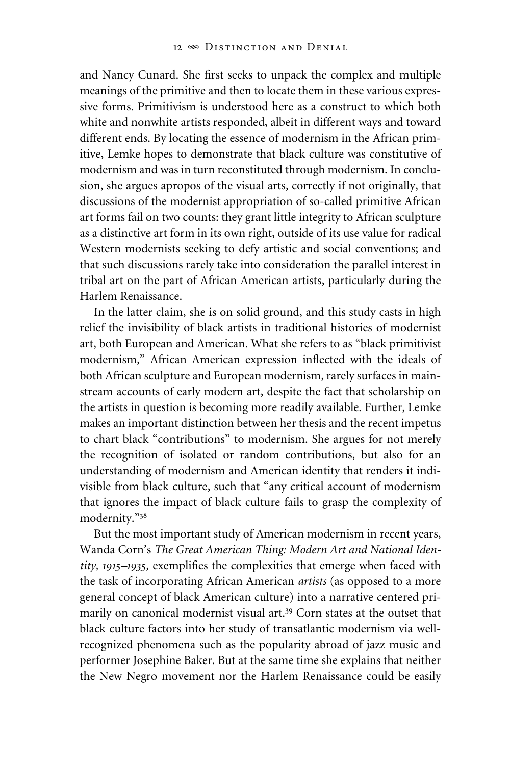and Nancy Cunard. She first seeks to unpack the complex and multiple meanings of the primitive and then to locate them in these various expressive forms. Primitivism is understood here as a construct to which both white and nonwhite artists responded, albeit in different ways and toward different ends. By locating the essence of modernism in the African primitive, Lemke hopes to demonstrate that black culture was constitutive of modernism and was in turn reconstituted through modernism. In conclusion, she argues apropos of the visual arts, correctly if not originally, that discussions of the modernist appropriation of so-called primitive African art forms fail on two counts: they grant little integrity to African sculpture as a distinctive art form in its own right, outside of its use value for radical Western modernists seeking to defy artistic and social conventions; and that such discussions rarely take into consideration the parallel interest in tribal art on the part of African American artists, particularly during the Harlem Renaissance.

In the latter claim, she is on solid ground, and this study casts in high relief the invisibility of black artists in traditional histories of modernist art, both European and American. What she refers to as "black primitivist modernism," African American expression inflected with the ideals of both African sculpture and European modernism, rarely surfaces in mainstream accounts of early modern art, despite the fact that scholarship on the artists in question is becoming more readily available. Further, Lemke makes an important distinction between her thesis and the recent impetus to chart black "contributions" to modernism. She argues for not merely the recognition of isolated or random contributions, but also for an understanding of modernism and American identity that renders it indivisible from black culture, such that "any critical account of modernism that ignores the impact of black culture fails to grasp the complexity of modernity."38

But the most important study of American modernism in recent years, Wanda Corn's *The Great American Thing: Modern Art and National Iden*tity, 1915–1935, exemplifies the complexities that emerge when faced with the task of incorporating African American *artists* (as opposed to a more general concept of black American culture) into a narrative centered primarily on canonical modernist visual art.<sup>39</sup> Corn states at the outset that black culture factors into her study of transatlantic modernism via wellrecognized phenomena such as the popularity abroad of jazz music and performer Josephine Baker. But at the same time she explains that neither the New Negro movement nor the Harlem Renaissance could be easily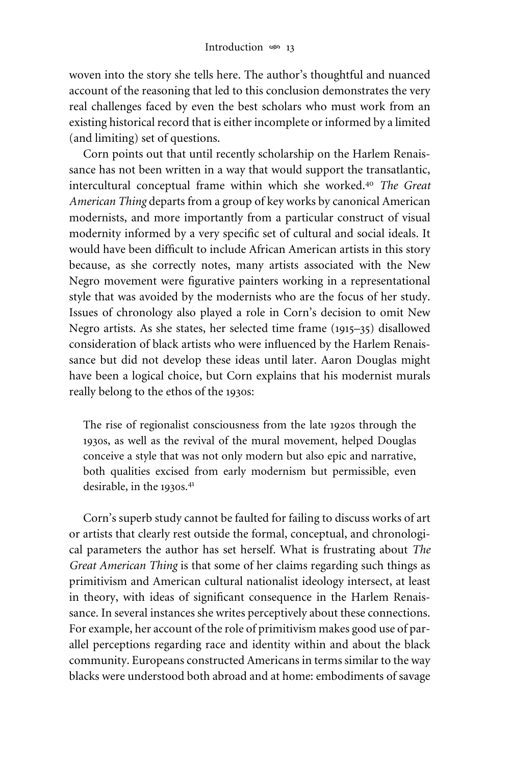woven into the story she tells here. The author's thoughtful and nuanced account of the reasoning that led to this conclusion demonstrates the very real challenges faced by even the best scholars who must work from an existing historical record that is either incomplete or informed by a limited (and limiting) set of questions.

Corn points out that until recently scholarship on the Harlem Renaissance has not been written in a way that would support the transatlantic, intercultural conceptual frame within which she worked.<sup>40</sup> *The Great American Thing* departs from a group of key works by canonical American modernists, and more importantly from a particular construct of visual modernity informed by a very specific set of cultural and social ideals. It would have been difficult to include African American artists in this story because, as she correctly notes, many artists associated with the New Negro movement were figurative painters working in a representational style that was avoided by the modernists who are the focus of her study. Issues of chronology also played a role in Corn's decision to omit New Negro artists. As she states, her selected time frame (1915–35) disallowed consideration of black artists who were influenced by the Harlem Renaissance but did not develop these ideas until later. Aaron Douglas might have been a logical choice, but Corn explains that his modernist murals really belong to the ethos of the 1930s:

The rise of regionalist consciousness from the late 1920s through the 1930s, as well as the revival of the mural movement, helped Douglas conceive a style that was not only modern but also epic and narrative, both qualities excised from early modernism but permissible, even desirable, in the 1930s.<sup>41</sup>

Corn's superb study cannot be faulted for failing to discuss works of art or artists that clearly rest outside the formal, conceptual, and chronological parameters the author has set herself. What is frustrating about *The Great American Thing* is that some of her claims regarding such things as primitivism and American cultural nationalist ideology intersect, at least in theory, with ideas of significant consequence in the Harlem Renaissance. In several instances she writes perceptively about these connections. For example, her account of the role of primitivism makes good use of parallel perceptions regarding race and identity within and about the black community. Europeans constructed Americans in terms similar to the way blacks were understood both abroad and at home: embodiments of savage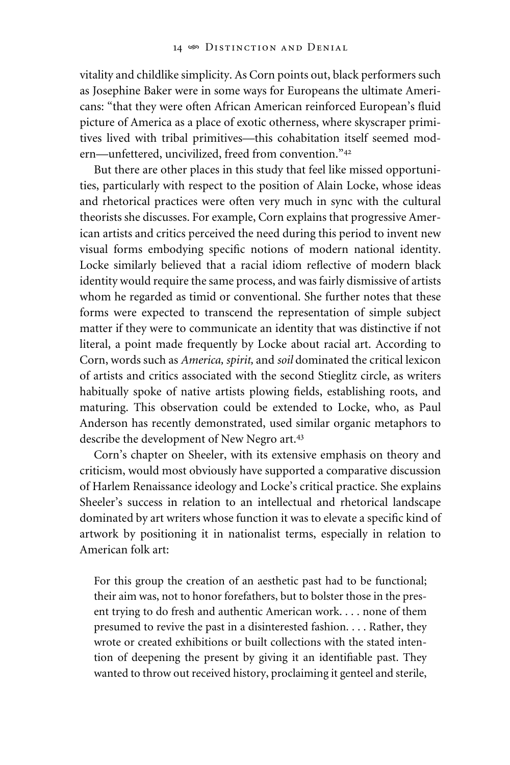vitality and childlike simplicity. As Corn points out, black performers such as Josephine Baker were in some ways for Europeans the ultimate Americans: "that they were often African American reinforced European's fluid picture of America as a place of exotic otherness, where skyscraper primitives lived with tribal primitives—this cohabitation itself seemed modern—unfettered, uncivilized, freed from convention."<sup>42</sup>

But there are other places in this study that feel like missed opportunities, particularly with respect to the position of Alain Locke, whose ideas and rhetorical practices were often very much in sync with the cultural theorists she discusses. For example, Corn explains that progressive American artists and critics perceived the need during this period to invent new visual forms embodying specific notions of modern national identity. Locke similarly believed that a racial idiom reflective of modern black identity would require the same process, and was fairly dismissive of artists whom he regarded as timid or conventional. She further notes that these forms were expected to transcend the representation of simple subject matter if they were to communicate an identity that was distinctive if not literal, a point made frequently by Locke about racial art. According to Corn, words such as *America, spirit,* and *soil* dominated the critical lexicon of artists and critics associated with the second Stieglitz circle, as writers habitually spoke of native artists plowing fields, establishing roots, and maturing. This observation could be extended to Locke, who, as Paul Anderson has recently demonstrated, used similar organic metaphors to describe the development of New Negro art.<sup>43</sup>

Corn's chapter on Sheeler, with its extensive emphasis on theory and criticism, would most obviously have supported a comparative discussion of Harlem Renaissance ideology and Locke's critical practice. She explains Sheeler's success in relation to an intellectual and rhetorical landscape dominated by art writers whose function it was to elevate a specific kind of artwork by positioning it in nationalist terms, especially in relation to American folk art:

For this group the creation of an aesthetic past had to be functional; their aim was, not to honor forefathers, but to bolster those in the present trying to do fresh and authentic American work. . . . none of them presumed to revive the past in a disinterested fashion. . . . Rather, they wrote or created exhibitions or built collections with the stated intention of deepening the present by giving it an identifiable past. They wanted to throw out received history, proclaiming it genteel and sterile,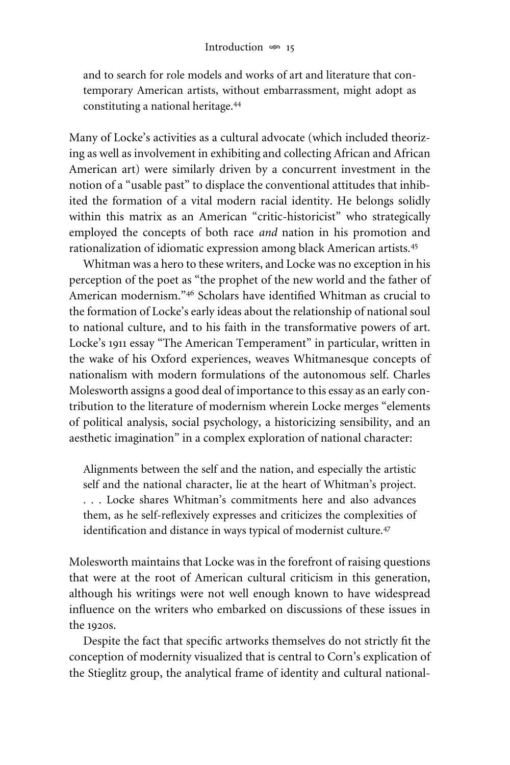and to search for role models and works of art and literature that contemporary American artists, without embarrassment, might adopt as constituting a national heritage.44

Many of Locke's activities as a cultural advocate (which included theorizing as well as involvement in exhibiting and collecting African and African American art) were similarly driven by a concurrent investment in the notion of a "usable past" to displace the conventional attitudes that inhibited the formation of a vital modern racial identity. He belongs solidly within this matrix as an American "critic-historicist" who strategically employed the concepts of both race *and* nation in his promotion and rationalization of idiomatic expression among black American artists.45

Whitman was a hero to these writers, and Locke was no exception in his perception of the poet as "the prophet of the new world and the father of American modernism."<sup>46</sup> Scholars have identified Whitman as crucial to the formation of Locke's early ideas about the relationship of national soul to national culture, and to his faith in the transformative powers of art. Locke's 1911 essay "The American Temperament" in particular, written in the wake of his Oxford experiences, weaves Whitmanesque concepts of nationalism with modern formulations of the autonomous self. Charles Molesworth assigns a good deal of importance to this essay as an early contribution to the literature of modernism wherein Locke merges "elements of political analysis, social psychology, a historicizing sensibility, and an aesthetic imagination" in a complex exploration of national character:

Alignments between the self and the nation, and especially the artistic self and the national character, lie at the heart of Whitman's project. . . . Locke shares Whitman's commitments here and also advances them, as he self-reflexively expresses and criticizes the complexities of identification and distance in ways typical of modernist culture.<sup>47</sup>

Molesworth maintains that Locke was in the forefront of raising questions that were at the root of American cultural criticism in this generation, although his writings were not well enough known to have widespread influence on the writers who embarked on discussions of these issues in the 1920s.

Despite the fact that specific artworks themselves do not strictly fit the conception of modernity visualized that is central to Corn's explication of the Stieglitz group, the analytical frame of identity and cultural national-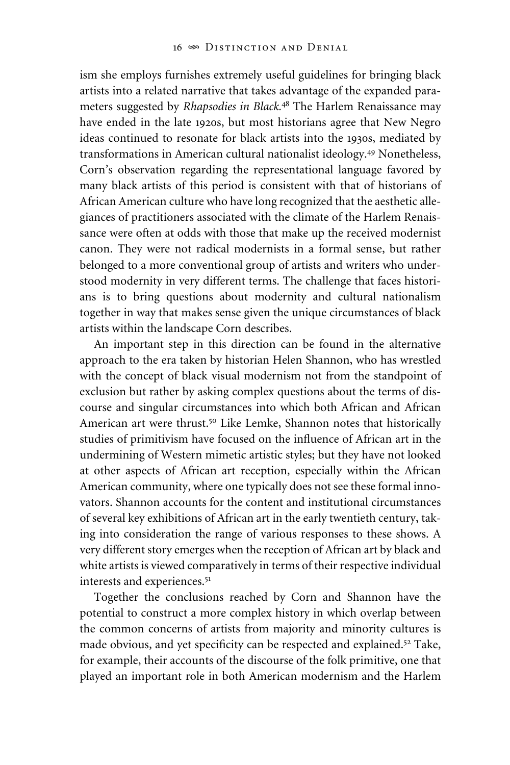ism she employs furnishes extremely useful guidelines for bringing black artists into a related narrative that takes advantage of the expanded parameters suggested by *Rhapsodies in Black.*<sup>48</sup> The Harlem Renaissance may have ended in the late 1920s, but most historians agree that New Negro ideas continued to resonate for black artists into the 1930s, mediated by transformations in American cultural nationalist ideology.49 Nonetheless, Corn's observation regarding the representational language favored by many black artists of this period is consistent with that of historians of African American culture who have long recognized that the aesthetic allegiances of practitioners associated with the climate of the Harlem Renaissance were often at odds with those that make up the received modernist canon. They were not radical modernists in a formal sense, but rather belonged to a more conventional group of artists and writers who understood modernity in very different terms. The challenge that faces historians is to bring questions about modernity and cultural nationalism together in way that makes sense given the unique circumstances of black artists within the landscape Corn describes.

An important step in this direction can be found in the alternative approach to the era taken by historian Helen Shannon, who has wrestled with the concept of black visual modernism not from the standpoint of exclusion but rather by asking complex questions about the terms of discourse and singular circumstances into which both African and African American art were thrust.<sup>50</sup> Like Lemke, Shannon notes that historically studies of primitivism have focused on the influence of African art in the undermining of Western mimetic artistic styles; but they have not looked at other aspects of African art reception, especially within the African American community, where one typically does not see these formal innovators. Shannon accounts for the content and institutional circumstances of several key exhibitions of African art in the early twentieth century, taking into consideration the range of various responses to these shows. A very different story emerges when the reception of African art by black and white artists is viewed comparatively in terms of their respective individual interests and experiences.<sup>51</sup>

Together the conclusions reached by Corn and Shannon have the potential to construct a more complex history in which overlap between the common concerns of artists from majority and minority cultures is made obvious, and yet specificity can be respected and explained.<sup>52</sup> Take, for example, their accounts of the discourse of the folk primitive, one that played an important role in both American modernism and the Harlem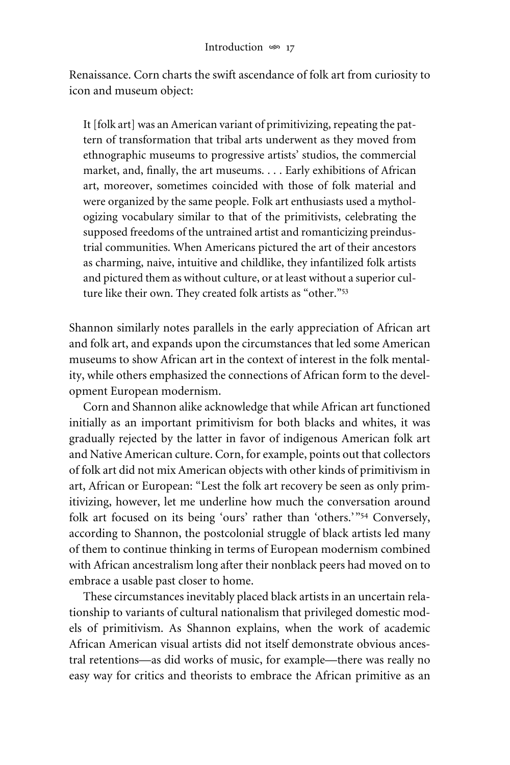Renaissance. Corn charts the swift ascendance of folk art from curiosity to icon and museum object:

It [folk art] was an American variant of primitivizing, repeating the pattern of transformation that tribal arts underwent as they moved from ethnographic museums to progressive artists' studios, the commercial market, and, finally, the art museums. . . . Early exhibitions of African art, moreover, sometimes coincided with those of folk material and were organized by the same people. Folk art enthusiasts used a mythologizing vocabulary similar to that of the primitivists, celebrating the supposed freedoms of the untrained artist and romanticizing preindustrial communities. When Americans pictured the art of their ancestors as charming, naive, intuitive and childlike, they infantilized folk artists and pictured them as without culture, or at least without a superior culture like their own. They created folk artists as "other."<sup>53</sup>

Shannon similarly notes parallels in the early appreciation of African art and folk art, and expands upon the circumstances that led some American museums to show African art in the context of interest in the folk mentality, while others emphasized the connections of African form to the development European modernism.

Corn and Shannon alike acknowledge that while African art functioned initially as an important primitivism for both blacks and whites, it was gradually rejected by the latter in favor of indigenous American folk art and Native American culture. Corn, for example, points out that collectors of folk art did not mix American objects with other kinds of primitivism in art, African or European: "Lest the folk art recovery be seen as only primitivizing, however, let me underline how much the conversation around folk art focused on its being 'ours' rather than 'others.'"54 Conversely, according to Shannon, the postcolonial struggle of black artists led many of them to continue thinking in terms of European modernism combined with African ancestralism long after their nonblack peers had moved on to embrace a usable past closer to home.

These circumstances inevitably placed black artists in an uncertain relationship to variants of cultural nationalism that privileged domestic models of primitivism. As Shannon explains, when the work of academic African American visual artists did not itself demonstrate obvious ancestral retentions—as did works of music, for example—there was really no easy way for critics and theorists to embrace the African primitive as an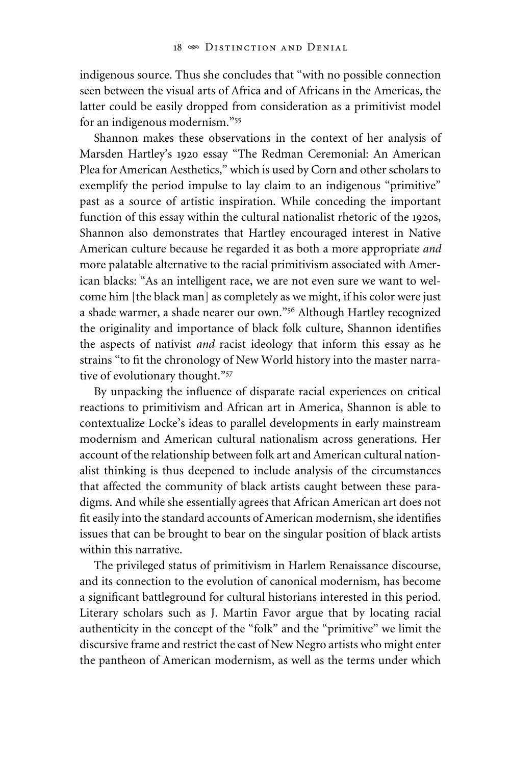indigenous source. Thus she concludes that "with no possible connection seen between the visual arts of Africa and of Africans in the Americas, the latter could be easily dropped from consideration as a primitivist model for an indigenous modernism."55

Shannon makes these observations in the context of her analysis of Marsden Hartley's 1920 essay "The Redman Ceremonial: An American Plea for American Aesthetics," which is used by Corn and other scholars to exemplify the period impulse to lay claim to an indigenous "primitive" past as a source of artistic inspiration. While conceding the important function of this essay within the cultural nationalist rhetoric of the 1920s, Shannon also demonstrates that Hartley encouraged interest in Native American culture because he regarded it as both a more appropriate *and* more palatable alternative to the racial primitivism associated with American blacks: "As an intelligent race, we are not even sure we want to welcome him [the black man] as completely as we might, if his color were just a shade warmer, a shade nearer our own."56 Although Hartley recognized the originality and importance of black folk culture, Shannon identifies the aspects of nativist *and* racist ideology that inform this essay as he strains "to fit the chronology of New World history into the master narrative of evolutionary thought."57

By unpacking the influence of disparate racial experiences on critical reactions to primitivism and African art in America, Shannon is able to contextualize Locke's ideas to parallel developments in early mainstream modernism and American cultural nationalism across generations. Her account of the relationship between folk art and American cultural nationalist thinking is thus deepened to include analysis of the circumstances that affected the community of black artists caught between these paradigms. And while she essentially agrees that African American art does not fit easily into the standard accounts of American modernism, she identifies issues that can be brought to bear on the singular position of black artists within this narrative.

The privileged status of primitivism in Harlem Renaissance discourse, and its connection to the evolution of canonical modernism, has become a significant battleground for cultural historians interested in this period. Literary scholars such as J. Martin Favor argue that by locating racial authenticity in the concept of the "folk" and the "primitive" we limit the discursive frame and restrict the cast of New Negro artists who might enter the pantheon of American modernism, as well as the terms under which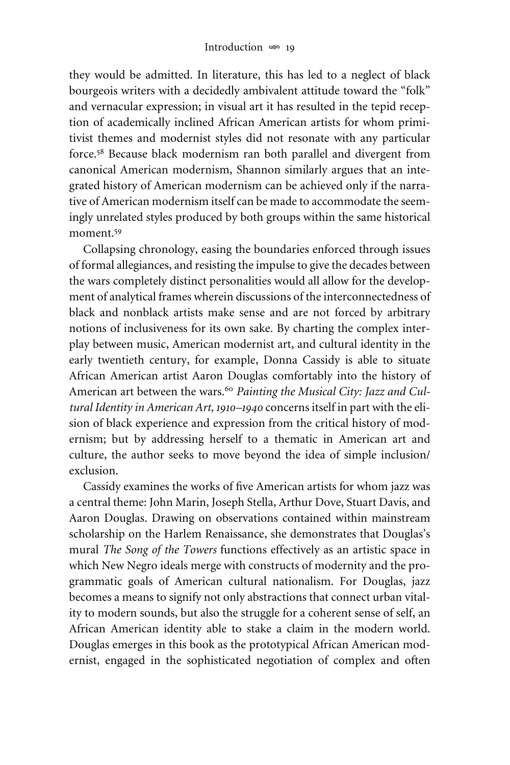they would be admitted. In literature, this has led to a neglect of black bourgeois writers with a decidedly ambivalent attitude toward the "folk" and vernacular expression; in visual art it has resulted in the tepid reception of academically inclined African American artists for whom primitivist themes and modernist styles did not resonate with any particular force.<sup>58</sup> Because black modernism ran both parallel and divergent from canonical American modernism, Shannon similarly argues that an integrated history of American modernism can be achieved only if the narrative of American modernism itself can be made to accommodate the seemingly unrelated styles produced by both groups within the same historical moment.<sup>59</sup>

Collapsing chronology, easing the boundaries enforced through issues of formal allegiances, and resisting the impulse to give the decades between the wars completely distinct personalities would all allow for the development of analytical frames wherein discussions of the interconnectedness of black and nonblack artists make sense and are not forced by arbitrary notions of inclusiveness for its own sake. By charting the complex interplay between music, American modernist art, and cultural identity in the early twentieth century, for example, Donna Cassidy is able to situate African American artist Aaron Douglas comfortably into the history of American art between the wars.<sup>60</sup> Painting the Musical City: Jazz and Cul*tural Identity in American Art, 1910–1940* concerns itself in part with the elision of black experience and expression from the critical history of modernism; but by addressing herself to a thematic in American art and culture, the author seeks to move beyond the idea of simple inclusion/ exclusion.

Cassidy examines the works of five American artists for whom jazz was a central theme: John Marin, Joseph Stella, Arthur Dove, Stuart Davis, and Aaron Douglas. Drawing on observations contained within mainstream scholarship on the Harlem Renaissance, she demonstrates that Douglas's mural *The Song of the Towers* functions effectively as an artistic space in which New Negro ideals merge with constructs of modernity and the programmatic goals of American cultural nationalism. For Douglas, jazz becomes a means to signify not only abstractions that connect urban vitality to modern sounds, but also the struggle for a coherent sense of self, an African American identity able to stake a claim in the modern world. Douglas emerges in this book as the prototypical African American modernist, engaged in the sophisticated negotiation of complex and often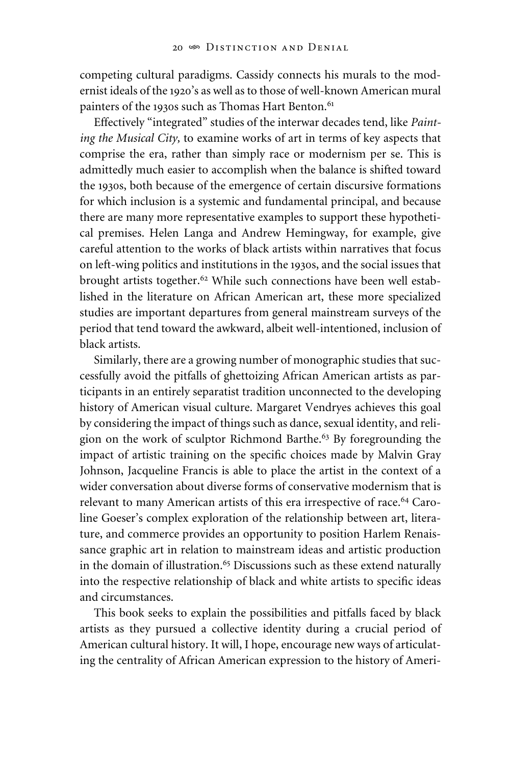competing cultural paradigms. Cassidy connects his murals to the modernist ideals of the 1920's as well as to those of well-known American mural painters of the 1930s such as Thomas Hart Benton.<sup>61</sup>

Effectively "integrated" studies of the interwar decades tend, like *Painting the Musical City,* to examine works of art in terms of key aspects that comprise the era, rather than simply race or modernism per se. This is admittedly much easier to accomplish when the balance is shifted toward the 1930s, both because of the emergence of certain discursive formations for which inclusion is a systemic and fundamental principal, and because there are many more representative examples to support these hypothetical premises. Helen Langa and Andrew Hemingway, for example, give careful attention to the works of black artists within narratives that focus on left-wing politics and institutions in the 1930s, and the social issues that brought artists together.<sup>62</sup> While such connections have been well established in the literature on African American art, these more specialized studies are important departures from general mainstream surveys of the period that tend toward the awkward, albeit well-intentioned, inclusion of black artists.

Similarly, there are a growing number of monographic studies that successfully avoid the pitfalls of ghettoizing African American artists as participants in an entirely separatist tradition unconnected to the developing history of American visual culture. Margaret Vendryes achieves this goal by considering the impact of things such as dance, sexual identity, and religion on the work of sculptor Richmond Barthe.<sup>63</sup> By foregrounding the impact of artistic training on the specific choices made by Malvin Gray Johnson, Jacqueline Francis is able to place the artist in the context of a wider conversation about diverse forms of conservative modernism that is relevant to many American artists of this era irrespective of race.<sup>64</sup> Caroline Goeser's complex exploration of the relationship between art, literature, and commerce provides an opportunity to position Harlem Renaissance graphic art in relation to mainstream ideas and artistic production in the domain of illustration.<sup>65</sup> Discussions such as these extend naturally into the respective relationship of black and white artists to specific ideas and circumstances.

This book seeks to explain the possibilities and pitfalls faced by black artists as they pursued a collective identity during a crucial period of American cultural history. It will, I hope, encourage new ways of articulating the centrality of African American expression to the history of Ameri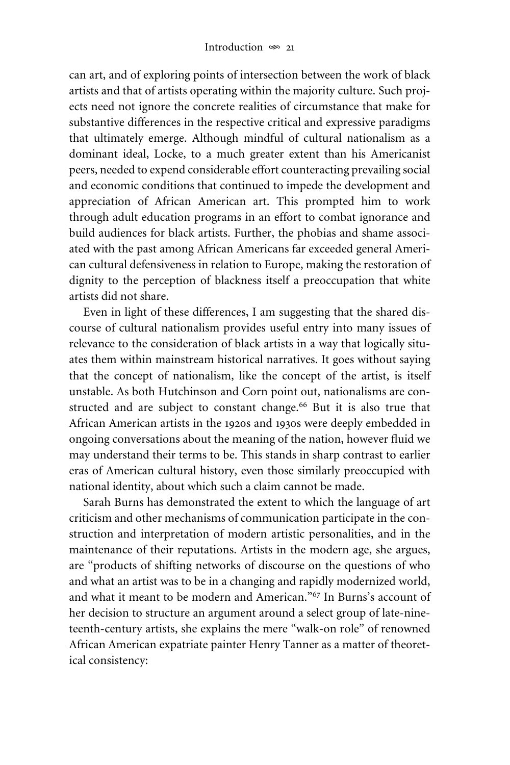can art, and of exploring points of intersection between the work of black artists and that of artists operating within the majority culture. Such projects need not ignore the concrete realities of circumstance that make for substantive differences in the respective critical and expressive paradigms that ultimately emerge. Although mindful of cultural nationalism as a dominant ideal, Locke, to a much greater extent than his Americanist peers, needed to expend considerable effort counteracting prevailing social and economic conditions that continued to impede the development and appreciation of African American art. This prompted him to work through adult education programs in an effort to combat ignorance and build audiences for black artists. Further, the phobias and shame associated with the past among African Americans far exceeded general American cultural defensiveness in relation to Europe, making the restoration of dignity to the perception of blackness itself a preoccupation that white artists did not share.

Even in light of these differences, I am suggesting that the shared discourse of cultural nationalism provides useful entry into many issues of relevance to the consideration of black artists in a way that logically situates them within mainstream historical narratives. It goes without saying that the concept of nationalism, like the concept of the artist, is itself unstable. As both Hutchinson and Corn point out, nationalisms are constructed and are subject to constant change.<sup>66</sup> But it is also true that African American artists in the 1920s and 1930s were deeply embedded in ongoing conversations about the meaning of the nation, however fluid we may understand their terms to be. This stands in sharp contrast to earlier eras of American cultural history, even those similarly preoccupied with national identity, about which such a claim cannot be made.

Sarah Burns has demonstrated the extent to which the language of art criticism and other mechanisms of communication participate in the construction and interpretation of modern artistic personalities, and in the maintenance of their reputations. Artists in the modern age, she argues, are "products of shifting networks of discourse on the questions of who and what an artist was to be in a changing and rapidly modernized world, and what it meant to be modern and American."67 In Burns's account of her decision to structure an argument around a select group of late-nineteenth-century artists, she explains the mere "walk-on role" of renowned African American expatriate painter Henry Tanner as a matter of theoretical consistency: